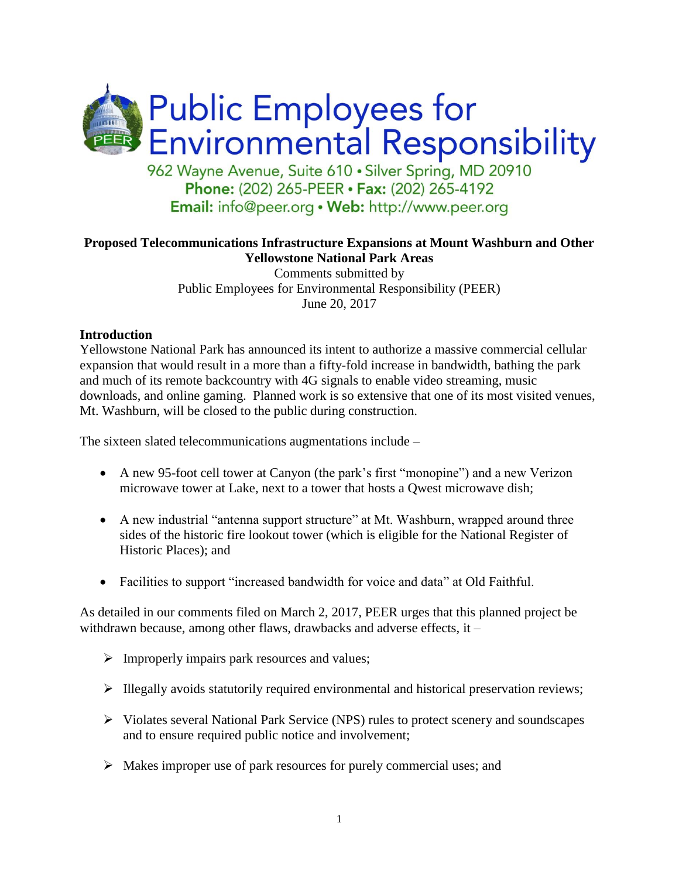

#### **Proposed Telecommunications Infrastructure Expansions at Mount Washburn and Other Yellowstone National Park Areas**

Comments submitted by Public Employees for Environmental Responsibility (PEER) June 20, 2017

#### **Introduction**

Yellowstone National Park has announced its intent to authorize a massive commercial cellular expansion that would result in a more than a fifty-fold increase in bandwidth, bathing the park and much of its remote backcountry with 4G signals to enable video streaming, music downloads, and online gaming. Planned work is so extensive that one of its most visited venues, Mt. Washburn, will be closed to the public during construction.

The sixteen slated telecommunications augmentations include –

- A new 95-foot cell tower at Canyon (the park's first "monopine") and a new Verizon microwave tower at Lake, next to a tower that hosts a Qwest microwave dish;
- A new industrial "antenna support structure" at Mt. Washburn, wrapped around three sides of the historic fire lookout tower (which is eligible for the National Register of Historic Places); and
- Facilities to support "increased bandwidth for voice and data" at Old Faithful.

As detailed in our comments filed on March 2, 2017, PEER urges that this planned project be withdrawn because, among other flaws, drawbacks and adverse effects, it –

- $\triangleright$  Improperly impairs park resources and values;
- $\triangleright$  Illegally avoids statutorily required environmental and historical preservation reviews;
- $\triangleright$  Violates several National Park Service (NPS) rules to protect scenery and soundscapes and to ensure required public notice and involvement;
- $\triangleright$  Makes improper use of park resources for purely commercial uses; and